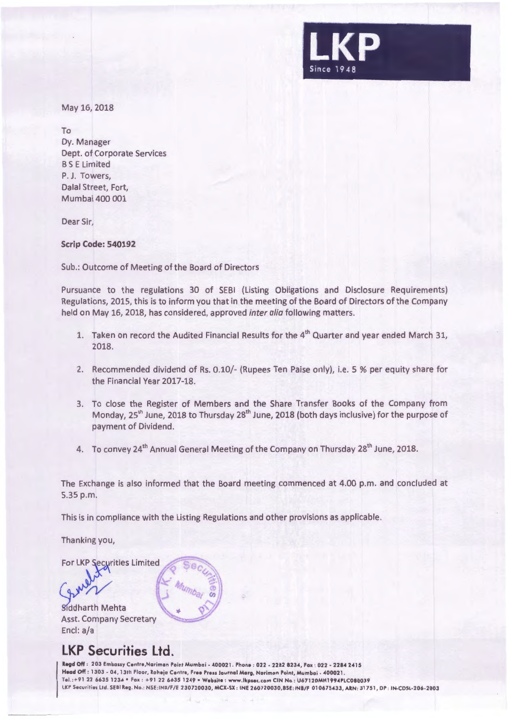

May 16, 2018

To Dy. Manager Dept. of Corporate Services BS E Limited P. J. Towers, Dalal Street, Fort, Mumbai 400 001

Dear Sir,

**Scrip Code: 540192** 

Sub.: Outcome of Meeting of the Board of Directors

Pursuance to the regulations 30 of SEBI (Listing Obligations and Disclosure Requirements) Regulations, 2015, this is to inform you that in the meeting of the Board of Directors of the Company held on May 16, 2018, has considered, approved inter alia following matters.

- 1. Taken on record the Audited Financial Results for the  $4<sup>th</sup>$  Quarter and year ended March 31, 2018.
- 2. Recommended dividend of Rs. 0.10/- (Rupees Ten Paise only), i.e. 5 % per equity share for the Financial Year 2017-18.
- 3. To close the Register of Members and the Share Transfer Books of the Company from Monday, 25<sup>th</sup> June, 2018 to Thursday 28<sup>th</sup> June, 2018 (both days inclusive) for the purpose of payment of Dividend.
- 4. To convey 24<sup>th</sup> Annual General Meeting of the Company on Thursday 28<sup>th</sup> June, 2018.

The Exchange is also informed that the Board meeting commenced at 4.00 p.m. and concluded at 5.35 p.m.

This is in compliance with the Listing Regulations and other provisions as applicable.

Thanking you,

For LKP Securities Limited

Siddharth Mehta Asst. Company Secretary Encl: a/a

# **LKP Securities Ltd.**

Regd Off : 203 Embassy Centre, Nariman Point Mumbai - 400021. Phone : 022 - 2282 8234, Fax : 022 - 2284 2415 Head Off: 1303 - 04, 13th Floor, Roheja Centre, Free Press Journal Marg, Nariman Point, Mumbai - 400021. Tel.:+91 22 6635 1234 • Fax: +91 22 6635 1249 • Website : www.lkpsec.com CIN No : U67120MH1994PLC080039 LKP Securities Ltd. SEBI Reg. No.: NSE:INB/F/E 230720030, MCX-SX: INE 260720030,BSE: INB/F 010675433, ARN: 31751, DP: IN-CDSL-206-2003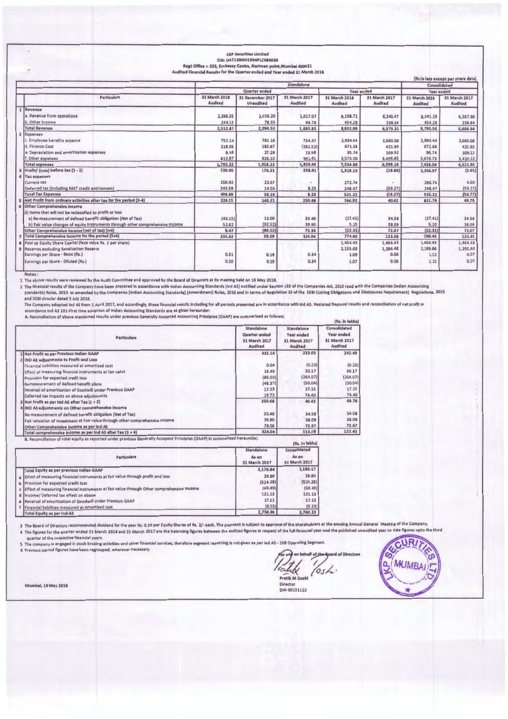|                |                                                                                |                                                                              | CIN: U67120MH1994PLC080039           |                          |                          |                                 |                                 |                                    |
|----------------|--------------------------------------------------------------------------------|------------------------------------------------------------------------------|--------------------------------------|--------------------------|--------------------------|---------------------------------|---------------------------------|------------------------------------|
|                |                                                                                | Regd Office :- 203, Embassy Centre, Nariman point, Mumbai 400021             |                                      |                          |                          |                                 |                                 |                                    |
|                |                                                                                | Audited Financial Results for the Quarter ended and Year ended 31 March 2018 |                                      |                          |                          |                                 |                                 | (Rs.in lacs except per share data) |
|                |                                                                                |                                                                              |                                      | Standalone               |                          |                                 | Consolidated                    |                                    |
|                |                                                                                |                                                                              | <b>Quarter</b> ended                 |                          | Year ended               |                                 | Year ended                      |                                    |
|                | <b>Particulars</b>                                                             | 31 March 2018<br><b>Audited</b>                                              | 31 December 2017<br><b>Unaudited</b> | 31 March 2017<br>Audited | 31 March 2018<br>Audited | 31 March 2017<br><b>Audited</b> | 31 March 2018<br><b>Audited</b> | 31 March 2017<br><b>Audited</b>    |
|                | Revenue                                                                        |                                                                              |                                      |                          |                          |                                 |                                 |                                    |
|                | a. Revenue from operations                                                     | 2,268.35                                                                     | 2,016.20                             | 1,617.07                 | 8,198.71                 | 6,340.47                        | 8,341.28                        | 6,367.80                           |
|                | b. Other Income                                                                | 244.52                                                                       | 78.33                                | 68.78                    | 454.28                   | 238.84                          | 454.28                          | 238.84                             |
|                | <b>Total Revenue</b>                                                           | 2,512.87                                                                     | 2,094.53                             | 1,685.85                 | 8,652.99                 | 6,579.31                        | 8,795.56                        | 6,606.64                           |
| $\overline{2}$ | Expenses                                                                       |                                                                              |                                      |                          |                          |                                 |                                 |                                    |
|                | c. Employee benefits expense                                                   | 752.14                                                                       | 781.16                               | 734.47                   | 2,994.44                 | 2,660.06                        | 2,994.44                        | 2,660.06                           |
|                | d. Finance Cost                                                                | 218.05                                                                       | 183.67                               | (282.52)                 | 671.68                   | 421.93                          | 671.68                          | 421.93                             |
|                | e. Depreciation and amortisation expenses                                      | 9.16                                                                         | 27.29                                | 13.58                    | 95.74                    | 109.52                          | 95.74                           | 109.52                             |
|                | f. Other expenses                                                              | 812.87                                                                       | 926.10                               | 961.41                   | 3,573.00                 | 3,406.65                        | 3,676.73                        | 3,420.13                           |
|                | <b>Total expenses</b>                                                          | 1,792.22                                                                     | 1,918.22                             | 1,426.94                 | 7,334.86                 | 6,598.16                        | 7,438.59                        | 6,611.65                           |
|                | Profit/ (Loss) before tax (1 - 2)                                              | 720.65                                                                       | 176.31                               | 258.91                   | 1,318.13                 | (18.86)                         | 1,356.97                        | (5.01)                             |
|                | <b>Tax expenses</b>                                                            |                                                                              |                                      |                          |                          |                                 |                                 |                                    |
|                | <b>Current tax</b>                                                             | 150.92                                                                       | 22.07                                |                          | 272.74                   |                                 | 286.74                          | 4.50                               |
|                | Deferred tax (including MAT credit entitlement)                                | 343.59                                                                       | 14.03                                | 8.23                     | 248.47                   | (59.27)                         | 248.47                          | (59.27)                            |
|                | <b>Total Tax Expenses</b>                                                      | 494.49                                                                       | 36.10                                | 8.23                     | 521.22                   | (59.27)                         | 535.22                          | (54.77)                            |
|                | Net Profit from ordinary activities after tax for the period (3-4)             | 226.15                                                                       | 140.21                               | 250.68                   | 796.92                   | 40.42                           | 821.76                          | 49.76                              |
|                | <b>Other Comprehensive Income</b>                                              |                                                                              |                                      |                          |                          |                                 |                                 |                                    |
|                | (i) Items that will not be reclassified to profit or loss                      |                                                                              |                                      |                          |                          |                                 |                                 |                                    |
|                | a) Re-mesurement of defined benefit obligation (Net of Tax)                    | (43.15)                                                                      | 12.00                                | 33.46                    | (27.41)                  | 34.58                           | (27.41)                         | 34.58                              |
|                | b) Fair value changes of equity instruments through other comprehensive income | 52.62                                                                        | (92.52)                              | 39.90                    | 5.10                     | 38.09                           | 5.10                            | 38.09                              |
|                | Other Comprehensive Income (net of tax) (i+ii)                                 | 9.47                                                                         | (80.52)                              | 73.36                    | (22.31)                  | 72.67                           | (22.31)                         | 72.67                              |
|                | Total Comprehensive Income for the period (5+6)                                | 235.62                                                                       | 59.69                                | 324.04                   | 774.60                   | 113.08                          | 799.45                          | 122.43                             |
|                | Paid up Equity Share Capital (face value Rs. 2 per share)                      |                                                                              |                                      |                          | 1,464.43                 | 1,464.43                        | 1,464.43                        | 1,464.43                           |
| $\overline{9}$ | Reserves excluding Revaluation Reserve                                         |                                                                              |                                      |                          | 2,155.69                 | 1,286.48                        | 2,189.86                        | 1,295.80                           |
|                | Earnings per Share - Basic (Rs.)                                               | 0.31                                                                         | 0.19                                 | 0.34                     | 1.09                     | 0.06                            | 1,12                            | 0.07                               |
|                | Earnings per Share - Diluted (Rs.)                                             | 0.30                                                                         | 0.19                                 | 0.34                     | 1.07                     | 0.06                            | 1.10                            | 0.07                               |
|                | Notes:                                                                         |                                                                              |                                      |                          |                          |                                 |                                 |                                    |

LKP Securities Limited

nves :<br>1 The above results were reviewed by the Audit Committee and approved by the Board of Directors at its meeting held on 16 May 2018.<br>2 The financial results of the Company have been prepared in accordance with Indian and SEBI circular dated 5 July 2016.

and outsure of the conduction of the Manuscordingly, these financial results including for all periods presented are in accordance with ind AS. Restated financial results and reconciliation of net profit in according to al

| <b>Perticulars</b>                                                                                     | <b>Standalone</b><br><b>Quarter</b> ended<br>31 March 2017<br>Audited | Standalone<br>Year ended<br>31 March 2017<br>Audited | Consolidated<br>Year ended<br>31 March 2017<br>Audited |
|--------------------------------------------------------------------------------------------------------|-----------------------------------------------------------------------|------------------------------------------------------|--------------------------------------------------------|
| 1 Net Profit as per Previous Indian GAAP                                                               | 332.16                                                                | 233.05                                               | 242.40                                                 |
| 2 IND AS adjustments to Profit and Loss                                                                |                                                                       |                                                      |                                                        |
| Financial liabilities measured at amortised cost                                                       | 0.04                                                                  | (0.23)                                               | (0.23)                                                 |
| Effect of measuring financial instruments at fair value                                                | 16.49                                                                 | 30.17                                                | 30.17                                                  |
| Provision for expected credit loss                                                                     | (86.50)                                                               | (264.07)                                             | (264.07)                                               |
| Remeasurement of defined benefit plans                                                                 | (48.37)                                                               | (50.04)                                              | (50.04)                                                |
| Reversal of amortisation of Goodwill under Previous GAAP                                               | 17.13                                                                 | 17.13                                                | 17.13                                                  |
| Deferred tax impacts on above adjustments                                                              | 19.72                                                                 | 74.40                                                | 74.40                                                  |
| $3$ Net Profit as par Ind AS after Tax $(1 + 2)$<br>4 IND AS adjustments on Other comprehensive income | 250.68                                                                | 40.42                                                | 49.76                                                  |
| Re-measurement of defined benefit obligation (Net of Tax)                                              | 33.46                                                                 | 34.58                                                | 34.58                                                  |
| Fair valuation of Investment at Fair value through other comprehensive income                          | 39.90                                                                 | 38.09                                                | 38.09                                                  |
| Other Comprehensive income as per Ind AS                                                               | 73.36                                                                 | 72.67                                                | 72.67                                                  |
| Total comprehensive income as per ind AS after Tax (3 + 4)                                             | 324.04                                                                | 113.08                                               | 122.43                                                 |

| <b>Particulars</b>                                                                           | Standalone<br>As on<br>31 March 2017 | Consolidated<br>As on<br>31 March 2017 |
|----------------------------------------------------------------------------------------------|--------------------------------------|----------------------------------------|
| <b>Total Equity as per previous Indian GAAP</b>                                              | 3,176.84                             | 3,186.17                               |
| a Effect of measuring financial instruments at fair value through profit and loss            | 29.80                                | 29.80                                  |
| <b>b</b> Provision for expected credit ioss                                                  | (524.28)                             | (524.28)                               |
| c Effect of measuring financial instruments at fair value through Other comprehensive income | (69.49)                              | (69.49)                                |
| d Income/ Deferred tax effect on above                                                       | 121.13                               | 121.13                                 |
| e Reversal of amortisation of Goodwill under Previous GAAP                                   | 17.13                                | 17.13                                  |
| Financial liabilities measured at amortised cost                                             | (0.23)                               | (0.23)                                 |
| Total Fourty as per Ind-AS                                                                   | 2,750.90                             | 2,760.23                               |

3 The Board of Directors recommended dividend for the year Rs. 0.10 per Equity Shares of Rs. 2/- each. The payment is subject to approval of the shareholders at the ensuing Annual General Meeting of the Company.<br>4 The figu

quarter of the respective financial years.<br>
5 The company is engaged in stock broking activities and other financial services, therefore segment reporting is not given as per ind AS - 108 Operating Segment.<br>
6 Previous per

Protik elf o<u>f the S</u>pard of Directors Pratik M Doshi (Oske. 1 DIN 00131122

(Be, In Jakhe)



Mumbai, 16 May 2018

 $\overline{\phantom{a}}$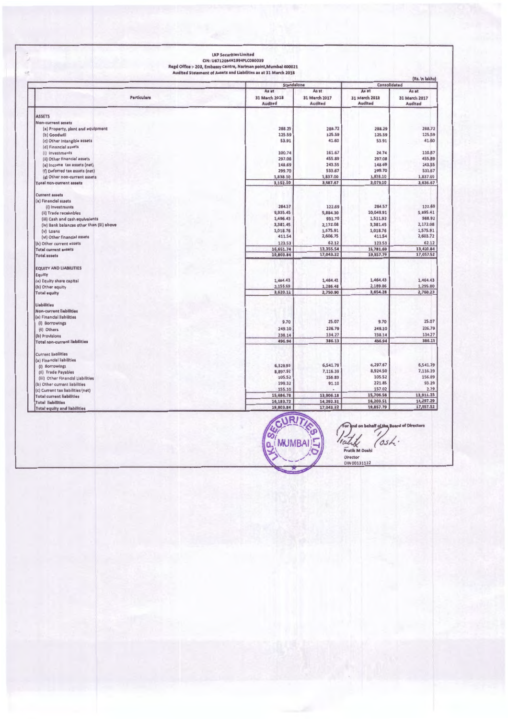LKP Securities Limited<br>CIN: U67120MH1994PLC080039<br>Regd Office :- 203, Embassy Centre, Nariman point,Mumbal 400021<br>Audited Statement of Assets and Liabilities as at 31 March 2018

|                                           | Standalone     |               | Consolidated  |                  |
|-------------------------------------------|----------------|---------------|---------------|------------------|
|                                           | As at<br>As at |               | As at         | As at            |
| Particulars                               | 31 March 2018  | 31 March 2017 | 31 March 2018 | 31 March 2017    |
|                                           | <b>Audited</b> | Audited       | Audited       | Audited          |
|                                           |                |               |               |                  |
| <b>ASSETS</b>                             |                |               |               |                  |
| <b>Non-current assets</b>                 | 288.29         | 288.72        | 288.29        | 288.72           |
| (a) Property, plant and equipment         | 125.59         | 125.59        | 125.59        | 125.59           |
| (b) Goodwill                              |                |               |               | 41.60            |
| (c) Other Intangible assets               | 53.91          | 41.60         | 53.91         |                  |
| (d) Financial assets                      |                |               |               |                  |
| (i) investments                           | 100.74         | 161.67        | 24.74         | 110.67<br>455.B9 |
| (ii) Other financial assets               | 297.08         | 455.89        | 297.08        |                  |
| (e) income tax assets (net)               | 148.69         | 243.55        | 148.69        | 243.55           |
| (f) Deferred tax assets (net)             | 299.70         | 533.67        | 299.70        | 533.67           |
| (g) Other non-current assets              | 1,838.10       | 1,837.00      | 1,838.10      | 1,837.00         |
| <b>Total non-current assets</b>           | 3,152.10       | 3,687.67      | 3,076.10      | 3,636.67         |
| <b>Current assets</b>                     |                |               |               |                  |
| (a) Financial assets                      |                |               |               |                  |
| (i) Investments                           | 284.57         | 122.69        | 284.57        | 122.69           |
| (ii) Trade receivables                    | 9,935.45       | 5,884.30      | 10,049.91     | 5,895.41         |
| (iii) Cash and cash equivalents           | 1,496.43       | 931.70        | 1,511.92      | 988.92           |
| (iv) Bank balances other than (iii) above | 3,381.45       | 2,172.08      | 3,381.45      | 2,172.08         |
| (v) Loans                                 | 1,018.76       | 1,575.91      | 1,018.76      | 1,575.91         |
| (vi) Other financial assets               | 411.54         | 2,606.75      | 411.54        | 2,603.72         |
| (b) Other current assets                  | 123.53         | 62.12         | 123.53        | 62.12            |
| <b>Total current assets</b>               | 16,651.74      | 13,355.54     | 16,781.69     | 13,420.84        |
| <b>Total assets</b>                       | 19,803.84      | 17,043.22     | 19,857.79     | 17,057.52        |
| <b>EQUITY AND LIABILITIES</b>             |                |               |               |                  |
|                                           |                |               |               |                  |
| Equity                                    | 1,464.43       | 1,464.43      | 1,464.43      | 1,464.43         |
| (a) Equity share capital                  | 2,155.69       | 1,286.48      | 2,189.86      | 1,295.80         |
| (b) Other equity                          | 3,620.12       | 2,750.90      | 3,654.28      | 2,760.23         |
| <b>Total equity</b>                       |                |               |               |                  |
| <b>Liabilities</b>                        |                |               |               |                  |
| <b>Non-current liabilities</b>            |                |               |               |                  |
| (a) Financial liabilities                 |                | 25.07         | 9.70          | 25.07            |
| (i) Borrowings                            | 9.70           |               |               |                  |
| (ii) Others                               | 249.10         | 226.79        | 249.10        | 226.79           |
| (b) Provisions                            | 238.14         | 134.27        | 238.14        | 134.27           |
| <b>Total non-current liabilities</b>      | 496.94         | 386.13        | 496.94        | 386.13           |
| <b>Current liabilities</b>                |                |               |               |                  |
| (a) Financial liabilities                 |                |               |               |                  |
| (i) Borrowings                            | 6,328.93       | 6,541.79      | 6,297.67      | 6,541.79         |
| (ii) Trade Payables                       | 8,897.92       | 7,116.39      | 8,924.50      | 7,116.39         |
| (iii) Other Financial Liabilities         | 105.52         | 156.89        | 105.52        | 156.89           |
| (b) Other current liabilities             | 199.32         | 91.10         | 221.85        | 93.29            |
| (c) Current tax liabilities (net)         | 155.10         |               | 157.02        | 2.79             |
| <b>Total current liabilities</b>          | 15,686.78      | 13,906.18     | 15,706.56     | 13,911.15        |
| <b>Total liabilities</b>                  | 16,183.72      | 14,292.31     | 16,203.51     | 14,297.29        |
| <b>Total equity and liabilities</b>       | 19,803.84      | 17,043.22     | 19,857.79     | 17,057.52        |



For and on behalf of the Board of Directors<br>
Finally<br>
Fratis M Doshi<br>
Director<br>
DIN 00133122

 $1.1111$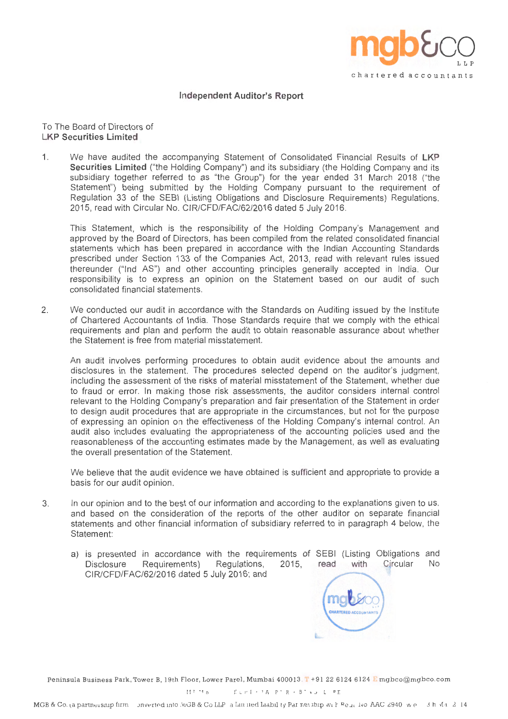

### **Independent Auditor's Report**

To The Board of Directors of **LKP Securities Limited** 

1. We have audited the accompanying Statement of Consolidated Financial Results of **LKP Securities Limited** ("the Holding Company") and its subsidiary (the Holding Company and its subsidiary together referred to as "the Group") for the year ended 31 March 2018 ("the Statement") being submitted by the Holding Company pursuant to the requirement of Regulation 33 of the SEBI (Listing Obligations and Disclosure Requirements) Regulations, 2015, read with Circular No. CIR/CFD/FAC/62/2016 dated 5 July 2016.

This Statement, which is the responsibility of the Holding Company's Management and approved by the Board of Directors, has been compiled from the related consolidated financial statements which has been prepared in accordance with the Indian Accounting Standards prescribed under Section 133 of the Companies Act, 2013, read with relevant rules issued thereunder ("Ind AS") and other accounting principles generally accepted in India. Our responsibility is to express an opinion on the Statement based on our audit of such consolidated financial statements.

2. We conducted our audit in accordance with the Standards on Auditing issued by the Institute of Chartered Accountants of India. Those Standards require that we comply with the ethical requirements and plan and perform the audit to obtain reasonable assurance about whether the Statement is free from material misstatement.

An audit involves performing procedures to obtain audit evidence about the amounts and disclosures in the statement. The procedures selected depend on the auditor's judgment, including the assessment of the risks of material misstatement of the Statement, whether due to fraud or error. In making those risk assessments, the auditor considers internal control relevant to the Holding Company's preparation and fair presentation of the Statement in order to design audit procedures that are appropriate in the circumstances, but not for the purpose of expressing an opinion on the effectiveness of the Holding Company's internal control. An audit also includes evaluating the appropriateness of the accounting policies used and the reasonableness of the accounting estimates made by the Management, as well as evaluating the overall presentation of the Statement.

We believe that the audit evidence we have obtained is sufficient and appropriate to provide a basis for our audit opinion.

- 3. In our opinion and to the best of our information and according to the explanations given to us, and based on the consideration of the reports of the other auditor on separate financial statements and other financial information of subsidiary referred to in paragraph 4 below, the Statement:
	- a) is presented in accordance with the requirements of SEBI (Listing Obligations and Disclosure Requirements) Regulations, 2015, read with Circular No CIR/CFD/FAC/62/2016 dated 5 July 2016; and



Peninsula Business Park, Tower B, 19th Floor, Lower Parel, Mumbai 400013. T+91 22 6124 6124 E mgbco@mgbco.com

MUMBAL ELHI· JAIPUR • BANGALORE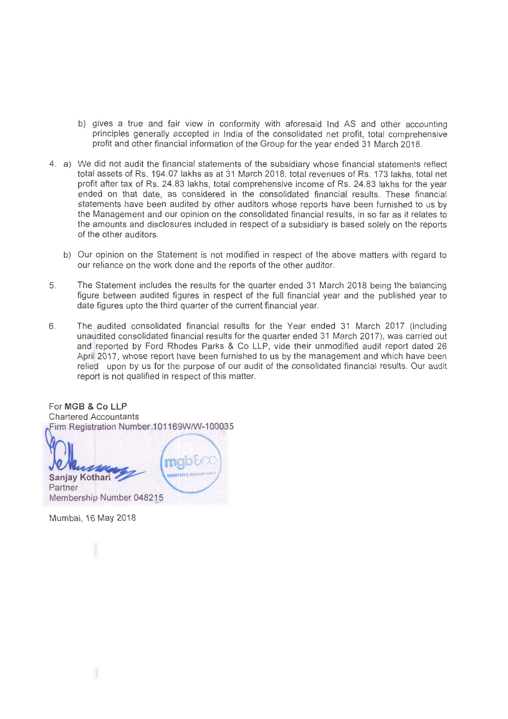- b) gives a true and fair view in conformity with aforesaid Ind AS and other accounting principles generally accepted in India of the consolidated net profit, total comprehensive profit and other financial information of the Group for the year ended 31 March 2018.
- 4. a) We did not audit the financial statements of the subsidiary whose financial statements reflect total assets of Rs. 194.07 lakhs as at 31 March 2018, total revenues of Rs. 173 lakhs, total net profit after tax of Rs. 24.83 lakhs, total comprehensive income of Rs. 24.83 lakhs for the year ended on that date, as considered in the consolidated financial results. These financial statements have been audited by other auditors whose reports have been furnished to us by the Management and our opinion on the consolidated financial results, in so far as it relates to the amounts and disclosures included in respect of a subsidiary is based solely on the reports of the other auditors.
	- b) Our opinion on the Statement is not modified in respect of the above matters with regard to our reliance on the work done and the reports of the other auditor.
- 5. The Statement includes the results for the quarter ended 31 March 2018 being the balancing figure between audited figures in respect of the full financial year and the published year to date figures upto the third quarter of the current financial year.
- 6. The audited consolidated financial results for the Year ended 31 March 2017 (including unaudited consolidated financial results for the quarter ended 31 March 2017), was carried out and reported by Ford Rhodes Parks & Co LLP, vide their unmodified audit report dated 26 April 2017, whose report have been furnished to us by the management and which have been relied upon by us for the purpose of our audit of the consolidated financial results. Our audit report is not qualified in respect of this matter.

For **MGB** & **Co LLP**  Chartered Accountants Firm Registration Number 101169W/W-100035

**Sanjay Kothari**  Partner Membership Number 048215

Mumbai, 16 May 2018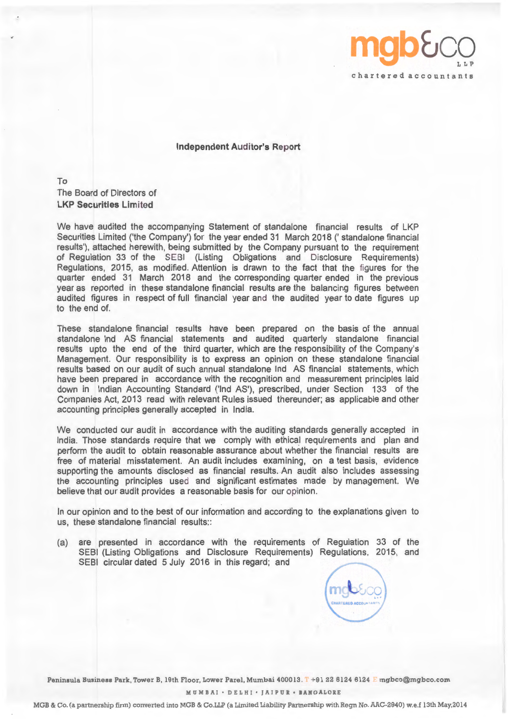

**Independent Auditor's Report** 

To The Board of Directors of **LKP Securities Limited** 

We have audited the accompanying Statement of standalone financial results of LKP Securities Limited ('the Company') for the year ended 31 March 2018 (' standalone financial results'), attached herewith, being submitted by the Company pursuant to the requirement of Regulation 33 of the SEBI (Listing Obligations and Disclosure Requirements) Regulations, 2015, as modified. Attention is drawn to the fact that the figures for the quarter ended 31 March 2018 and the corresponding quarter ended in the previous year as reported in these standalone financial results are the balancing figures between audited figures in respect of full financial year and the audited year to date figures up to the end of.

These standalone financial results have been prepared on the basis of the annual standalone Ind AS financial statements and audited quarterly standalone financial results upto the end of the third quarter, which are the responsibility of the Company's Management. Our responsibility is to express an opinion on these standalone financial results based on our audit of such annual standalone Ind AS financial statements, which have been prepared in accordance with the recognition and measurement principles laid down in Indian Accounting Standard ('Ind AS'), prescribed, under Section 133 of the Companies Act, 2013 read with relevant Rules issued thereunder; as applicable and other accounting principles generally accepted in India.

We conducted our audit in accordance with the auditing standards generally accepted in India. Those standards require that we comply with ethical requirements and plan and perform the audit to obtain reasonable assurance about whether the financial results are free of material misstatement. An audit includes examining, on a test basis, evidence supporting the amounts disclosed as financial results. An audit also includes assessing the accounting principles used and significant estimates made by management. We believe that our audit provides a reasonable basis for our opinion.

In our opinion and to the best of our information and according to the explanations given to us, these standalone financial results::

(a) are presented in accordance with the requirements of Regulation 33 of the SEBI (Listing Obligations and Disclosure Requirements) Regulations, 2015, and SEBI circular dated 5 July 2016 in this regard; and

Peninsula Business Park, Tower B, 19th Floor, Lower Parel, Mumbai 400013. T +91 22 6124 6124 E mgbco@mgbco.com

**MUMBAI** • DELHI • **JAIPUR** • **BANGALORE** 

MGB & Co. (a partnership firm) converted into MGB & Co.LLP (a Limited Liability Partnership with Regn No. AAC-2940) w.e.f 13th May,2014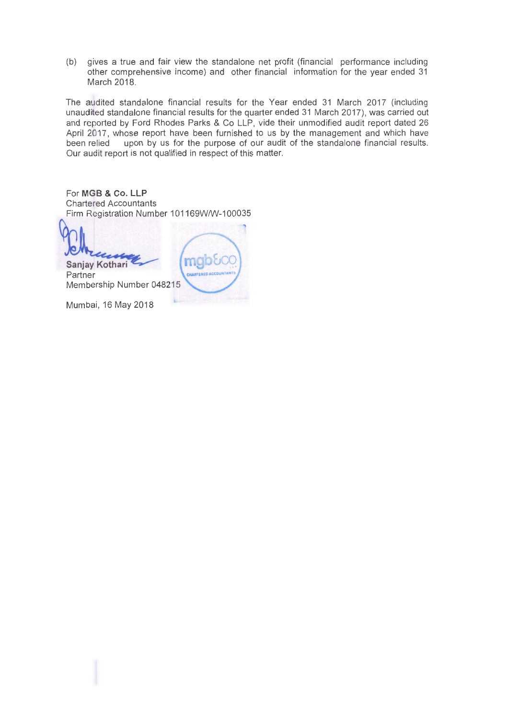(b) gives a true and fair view the standalone net profit (financial performance including other comprehensive income) and other financial information for the year ended 31 March 2018.

The audited standalone financial results for the Year ended 31 March 2017 (including unaudited standalone financial results for the quarter ended 31 March 2017), was carried out and reported by Ford Rhodes Parks & Co LLP, vide their unmodified audit report dated 26 April 2017, whose report have been furnished to us by the management and which have been relied upon by us for the purpose of our audit of the standalone financial results. Our audit report is not qualified in respect of this matter.

For **MGB** & **Co. LLP**  Chartered Accountants Firm Registration Number 101169WNV-100035

**Sanjay Kothari**  Partner Membership Number 048215

Mumbai, 16 May 2018